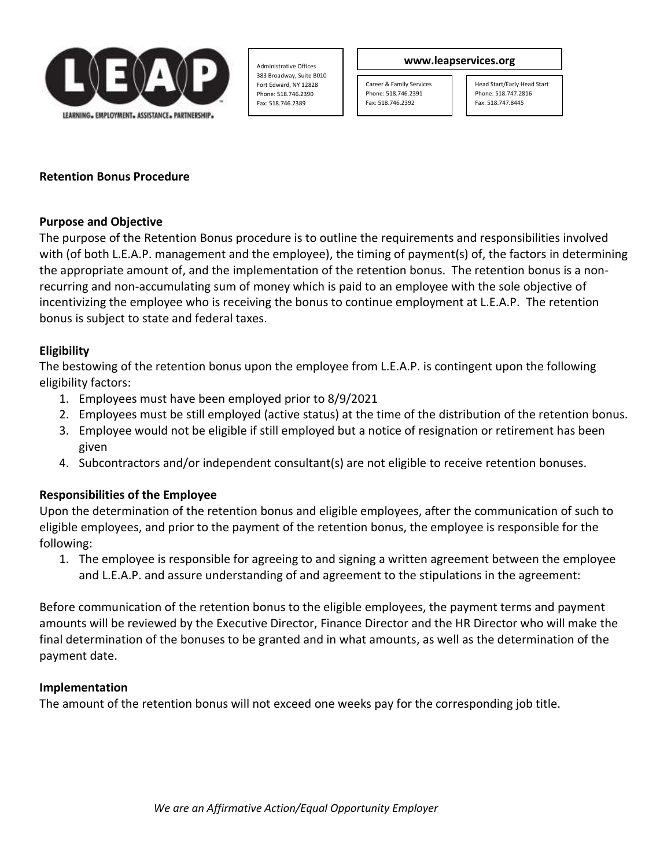

Administrative Offices 383 Broadway, Suite B010 Fort Edward, NY 12828 Phone: 518.746.2390 Fax: 518.746.2389

#### **www.leapservices.org**

Career & Family Services Phone: 518.746.2391 Fax: 518.746.2392

Head Start/Early Head Start Phone: 518.747.2816 Fax: 518.747.8445

## **Retention Bonus Procedure**

## **Purpose and Objective**

The purpose of the Retention Bonus procedure is to outline the requirements and responsibilities involved with (of both L.E.A.P. management and the employee), the timing of payment(s) of, the factors in determining the appropriate amount of, and the implementation of the retention bonus. The retention bonus is a nonrecurring and non-accumulating sum of money which is paid to an employee with the sole objective of incentivizing the employee who is receiving the bonus to continue employment at L.E.A.P. The retention bonus is subject to state and federal taxes.

## **Eligibility**

The bestowing of the retention bonus upon the employee from L.E.A.P. is contingent upon the following eligibility factors:

- 1. Employees must have been employed prior to 8/9/2021
- 2. Employees must be still employed (active status) at the time of the distribution of the retention bonus.
- 3. Employee would not be eligible if still employed but a notice of resignation or retirement has been given
- 4. Subcontractors and/or independent consultant(s) are not eligible to receive retention bonuses.

# **Responsibilities of the Employee**

Upon the determination of the retention bonus and eligible employees, after the communication of such to eligible employees, and prior to the payment of the retention bonus, the employee is responsible for the following:

1. The employee is responsible for agreeing to and signing a written agreement between the employee and L.E.A.P. and assure understanding of and agreement to the stipulations in the agreement:

Before communication of the retention bonus to the eligible employees, the payment terms and payment amounts will be reviewed by the Executive Director, Finance Director and the HR Director who will make the final determination of the bonuses to be granted and in what amounts, as well as the determination of the payment date.

#### **Implementation**

The amount of the retention bonus will not exceed one weeks pay for the corresponding job title.